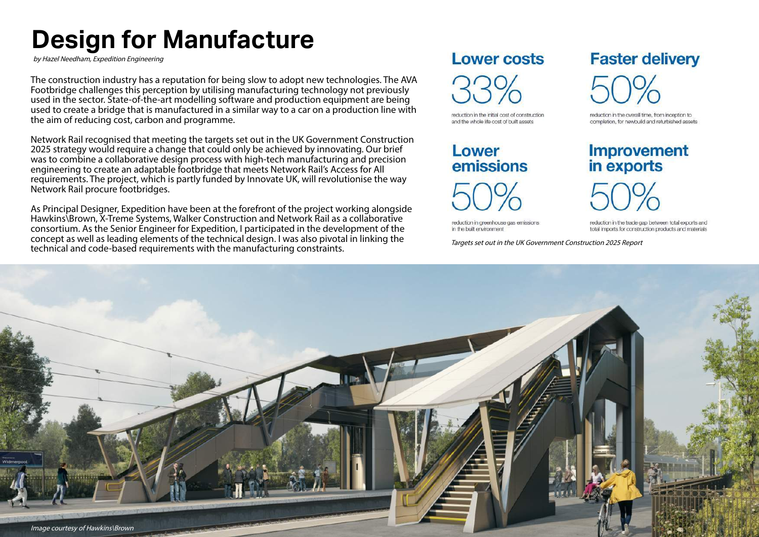# **Design for Manufacture**

by Hazel Needham, Expedition Engineering

The construction industry has a reputation for being slow to adopt new technologies. The AVA Footbridge challenges this perception by utilising manufacturing technology not previously used in the sector. State-of-the-art modelling software and production equipment are being used to create a bridge that is manufactured in a similar way to a car on a production line with the aim of reducing cost, carbon and programme.

Network Rail recognised that meeting the targets set out in the UK Government Construction 2025 strategy would require a change that could only be achieved by innovating. Our brief was to combine a collaborative design process with high-tech manufacturing and precision engineering to create an adaptable footbridge that meets Network Rail's Access for All requirements. The project, which is partly funded by Innovate UK, will revolutionise the way Network Rail procure footbridges.

As Principal Designer, Expedition have been at the forefront of the project working alongside Hawkins\Brown, X-Treme Systems, Walker Construction and Network Rail as a collaborative consortium. As the Senior Engineer for Expedition, I participated in the development of the concept as well as leading elements of the technical design. I was also pivotal in linking the technical and code-based requirements with the manufacturing constraints.

#### **Lower costs**

reduction in the initial cost of construction and the whole life cost of built assets

## Lower emissions

reduction in greenhouse gas emissions in the built environment

Targets set out in the UK Government Construction 2025 Report

## **Faster delivery**

reduction in the overall time, from inception to completion, for newbuild and refurbished assets

#### **Improvement** in exports



reduction in the trade gap between total exports and total imports for construction products and materials

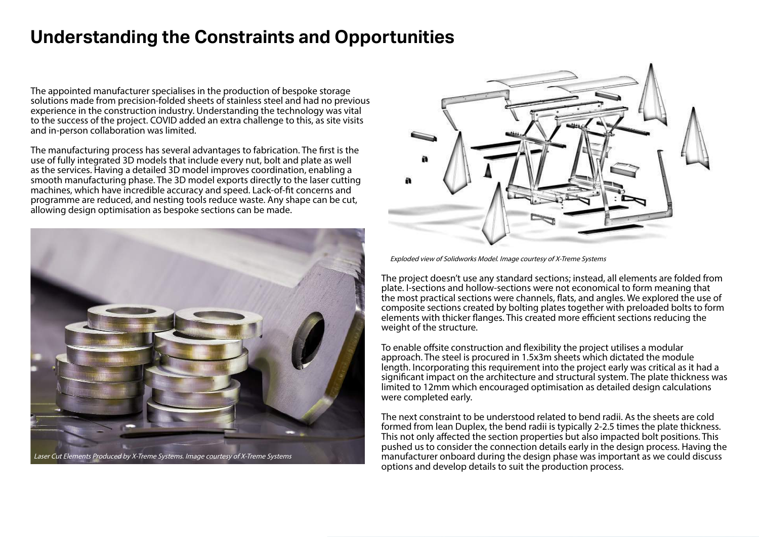### **Understanding the Constraints and Opportunities**

The appointed manufacturer specialises in the production of bespoke storage solutions made from precision-folded sheets of stainless steel and had no previous experience in the construction industry. Understanding the technology was vital to the success of the project. COVID added an extra challenge to this, as site visits and in-person collaboration was limited.

The manufacturing process has several advantages to fabrication. The first is the use of fully integrated 3D models that include every nut, bolt and plate as well as the services. Having a detailed 3D model improves coordination, enabling a smooth manufacturing phase. The 3D model exports directly to the laser cutting machines, which have incredible accuracy and speed. Lack-of-fit concerns and programme are reduced, and nesting tools reduce waste. Any shape can be cut, allowing design optimisation as bespoke sections can be made.



![](_page_1_Picture_4.jpeg)

Exploded view of Solidworks Model. Image courtesy of X-Treme Systems

The project doesn't use any standard sections; instead, all elements are folded from plate. I-sections and hollow-sections were not economical to form meaning that the most practical sections were channels, flats, and angles. We explored the use of composite sections created by bolting plates together with preloaded bolts to form elements with thicker flanges. This created more efficient sections reducing the weight of the structure.

To enable offsite construction and flexibility the project utilises a modular approach. The steel is procured in 1.5x3m sheets which dictated the module length. Incorporating this requirement into the project early was critical as it had a significant impact on the architecture and structural system. The plate thickness was limited to 12mm which encouraged optimisation as detailed design calculations were completed early.

The next constraint to be understood related to bend radii. As the sheets are cold formed from lean Duplex, the bend radii is typically 2-2.5 times the plate thickness. This not only affected the section properties but also impacted bolt positions. This pushed us to consider the connection details early in the design process. Having the manufacturer onboard during the design phase was important as we could discuss options and develop details to suit the production process.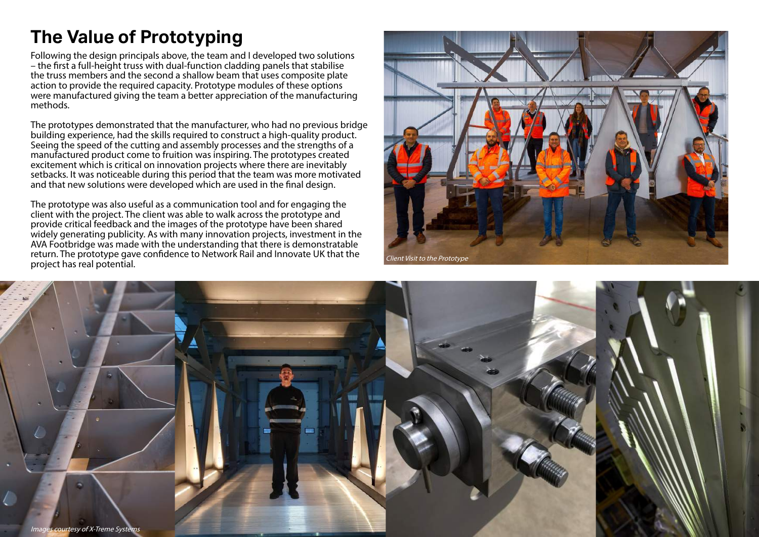## **The Value of Prototyping**

Following the design principals above, the team and I developed two solutions – the first a full-height truss with dual-function cladding panels that stabilise the truss members and the second a shallow beam that uses composite plate action to provide the required capacity. Prototype modules of these options were manufactured giving the team a better appreciation of the manufacturing methods.

The prototypes demonstrated that the manufacturer, who had no previous bridge building experience, had the skills required to construct a high-quality product. Seeing the speed of the cutting and assembly processes and the strengths of a manufactured product come to fruition was inspiring. The prototypes created excitement which is critical on innovation projects where there are inevitably setbacks. It was noticeable during this period that the team was more motivated and that new solutions were developed which are used in the final design.

The prototype was also useful as a communication tool and for engaging the client with the project. The client was able to walk across the prototype and provide critical feedback and the images of the prototype have been shared widely generating publicity. As with many innovation projects, investment in the AVA Footbridge was made with the understanding that there is demonstratable return. The prototype gave confidence to Network Rail and Innovate UK that the project has real potential.

![](_page_2_Picture_4.jpeg)

![](_page_2_Picture_5.jpeg)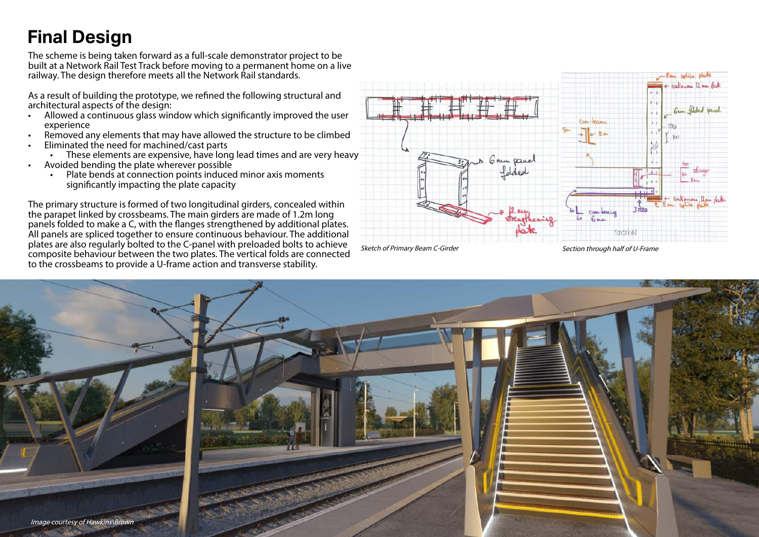### **Final Design**

The scheme is being taken forward as a full-scale demonstrator project to be built at a Network Rail Test Track before moving to a permanent home on a live railway. The design therefore meets all the Network Rail standards.

As a result of building the prototype, we refined the following structural and architectural aspects of the design:

- Allowed a continuous glass window which significantly improved the user experience
- Removed any elements that may have allowed the structure to be climbed
- Eliminated the need for machined/cast parts
	- These elements are expensive, have long lead times and are very heavy
- Avoided bending the plate wherever possible
	- Plate bends at connection points induced minor axis moments significantly impacting the plate capacity

The primary structure is formed of two longitudinal girders, concealed within the parapet linked by crossbeams. The main girders are made of 1.2m long panels folded to make a C, with the flanges strengthened by additional plates. All panels are spliced together to ensure continuous behaviour. The additional plates are also regularly bolted to the C-panel with preloaded bolts to achieve composite behaviour between the two plates. The vertical folds are connected to the crossbeams to provide a U-frame action and transverse stability.

![](_page_3_Figure_10.jpeg)

![](_page_3_Picture_11.jpeg)